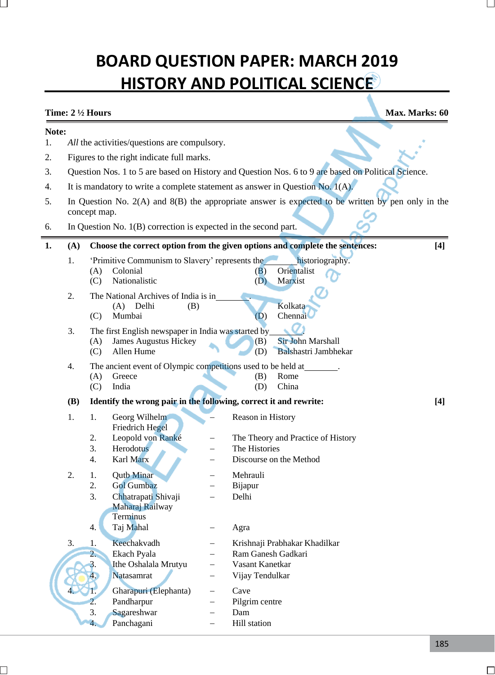# **BOARD QUESTION PAPER: MARCH 2019 HISTORY AND POLITICAL SCIENCE**

## **Time:**  $2\frac{1}{2}$  Hours **Max.** Marks: 60 **Note:** 1. *All* the activities/questions are compulsory. 2. Figures to the right indicate full marks. 3. Question Nos. 1 to 5 are based on History and Question Nos. 6 to 9 are based on Political Science. 4. It is mandatory to write a complete statement as answer in Question No. 1(A). 5. In Question No. 2(A) and 8(B) the appropriate answer is expected to be written by pen only in the concept map. 6. In Question No. 1(B) correction is expected in the second part. **1. (A) Choose the correct option from the given options and complete the sentences: [4]** 1. 'Primitive Communism to Slavery' represents the historiography. (A) Colonial (B) Orientalist (C) Nationalistic (D) Marxist 2. The National Archives of India is in . (A) Delhi (B) Kolkata (C) Mumbai (D) Chennai 3. The first English newspaper in India was started by . (A) James Augustus Hickey (B) Sir John Marshall (C) Allen Hume (D) Balshastri Jambhekar 4. The ancient event of Olympic competitions used to be held at (A) Greece (B) Rome (C) India (D) China **(B) Identify the wrong pair in the following, correct it and rewrite: [4]** 1. 1. Georg Wilhelm − Reason in History Friedrich Hegel 2. Leopold von Ranké − The Theory and Practice of History 3. Herodotus − The Histories 4. Karl Marx − Discourse on the Method 2. 1. Outb Minar − Mehrauli 2. Gol Gumbaz − Bijapur 3. Chhatrapati Shivaji − Delhi Maharaj Railway **Terminus** 4. Taj Mahal − Agra 3. 1. Keechakvadh − Krishnaji Prabhakar Khadilkar 2. Ekach Pyala − Ram Ganesh Gadkari 3. Ithe Oshalala Mrutyu − Vasant Kanetkar 4. Natasamrat − Vijay Tendulkar 4. 1. Gharapuri (Elephanta) − Cave 2. Pandharpur − Pilgrim centre

3. Sagareshwar − Dam 4. Panchagani − Hill station

185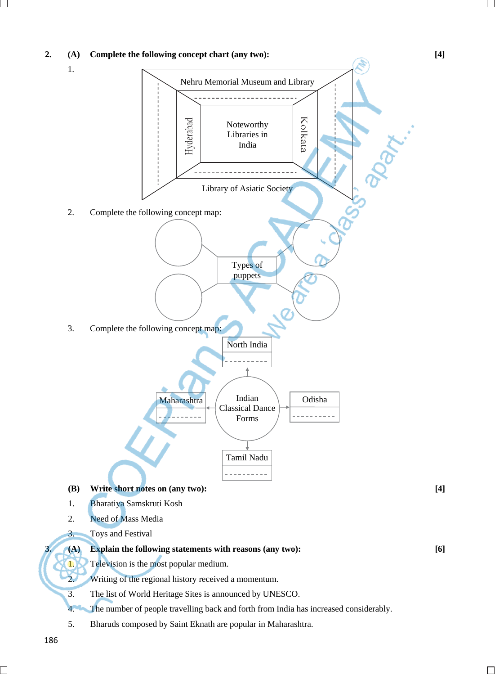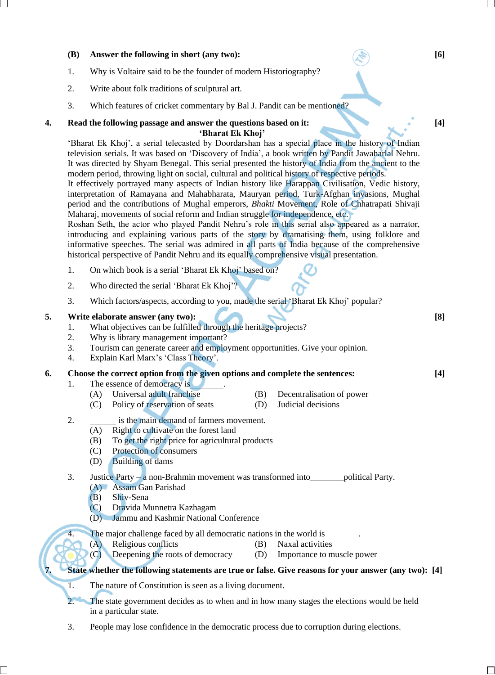#### **(B) Answer the following in short (any two): [6]**

- 1. Why is Voltaire said to be the founder of modern Historiography?
- 2. Write about folk traditions of sculptural art.
- 3. Which features of cricket commentary by Bal J. Pandit can be mentioned?

#### **4. Read the following passage and answer the questions based on it: [4] 'Bharat Ek Khoj'**

'Bharat Ek Khoj', a serial telecasted by Doordarshan has a special place in the history of Indian television serials. It was based on 'Discovery of India', a book written by Pandit Jawaharlal Nehru. It was directed by Shyam Benegal. This serial presented the history of India from the ancient to the modern period, throwing light on social, cultural and political history of respective periods.

It effectively portrayed many aspects of Indian history like Harappan Civilisation, Vedic history, interpretation of Ramayana and Mahabharata, Mauryan period, Turk-Afghan invasions, Mughal period and the contributions of Mughal emperors, *Bhakti* Movement, Role of Chhatrapati Shivaji Maharaj, movements of social reform and Indian struggle for independence, etc.

Roshan Seth, the actor who played Pandit Nehru's role in this serial also appeared as a narrator, introducing and explaining various parts of the story by dramatising them, using folklore and informative speeches. The serial was admired in all parts of India because of the comprehensive historical perspective of Pandit Nehru and its equally comprehensive visual presentation.

- 1. On which book is a serial 'Bharat Ek Khoj' based on?
- 2. Who directed the serial 'Bharat Ek Khoj'?
- 3. Which factors/aspects, according to you, made the serial 'Bharat Ek Khoj' popular?

#### **5. Write elaborate answer (any two): [8]**

- 1. What objectives can be fulfilled through the heritage projects?
- 2. Why is library management important?
- 3. Tourism can generate career and employment opportunities. Give your opinion.
- 4. Explain Karl Marx's 'Class Theory'.

#### **6. Choose the correct option from the given options and complete the sentences: [4]**

- 1. The essence of democracy is
	- (A) Universal adult franchise (B) Decentralisation of power
	- (C) Policy of reservation of seats (D) Judicial decisions
- -
- 2. is the main demand of farmers movement.
	- (A) Right to cultivate on the forest land
	- (B) To get the right price for agricultural products
	- (C) Protection of consumers
	- (D) Building of dams
- 3. Justice Party a non-Brahmin movement was transformed into political Party. (A) Assam Gan Parishad
	- (B) Shiv-Sena
	- (C) Dravida Munnetra Kazhagam
	- (D) Jammu and Kashmir National Conference
	- The major challenge faced by all democratic nations in the world is
	- (A) Religious conflicts (B) Naxal activities
	- (C) Deepening the roots of democracy (D) Importance to muscle power

### **7. State whether the following statements are true or false. Give reasons for your answer (any two): [4]**

- 1. The nature of Constitution is seen as a living document.
- 2. The state government decides as to when and in how many stages the elections would be held in a particular state.
- 3. People may lose confidence in the democratic process due to corruption during elections.